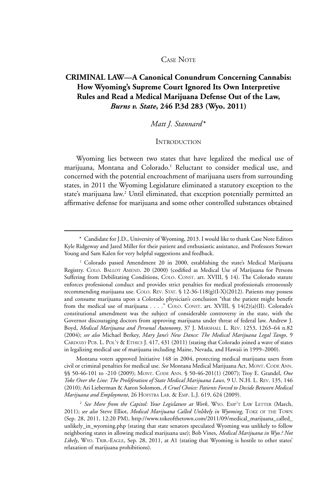#### CASE NOTE

# **CRIMINAL LAW—A Canonical Conundrum Concerning Cannabis: How Wyoming's Supreme Court Ignored Its Own Interpretive Rules and Read a Medical Marijuana Defense Out of the Law,**  *Burns v. State***, 246 P.3d 283 (Wyo. 2011)**

## *Matt J. Stannard* \*

### **INTRODUCTION**

Wyoming lies between two states that have legalized the medical use of marijuana, Montana and Colorado.<sup>1</sup> Reluctant to consider medical use, and concerned with the potential encroachment of marijuana users from surrounding states, in 2011 the Wyoming Legislature eliminated a statutory exception to the state's marijuana law.<sup>2</sup> Until eliminated, that exception potentially permitted an affirmative defense for marijuana and some other controlled substances obtained

Montana voters approved Initiative 148 in 2004, protecting medical marijuana users from civil or criminal penalties for medical use. *See* Montana Medical Marijuana Act, Mont. Code Ann. §§ 50-46-101 to -210 (2009); MONT. CODE ANN. § 50-46-201(1) (2007); Troy E. Grandel, One *Toke Over the Line: The Proliferation of State Medical Marijuana Laws*, 9 U. N.H. L. Rev. 135, 146 (2010); Ari Lieberman & Aaron Solomon, *A Cruel Choice: Patients Forced to Decide Between Medical Marijuana and Employment*, 26 Hofstra Lab. & Emp. L.J. 619, 624 (2009).

<sup>\*</sup> Candidate for J.D., University of Wyoming, 2013. I would like to thank Case Note Editors Kyle Ridgeway and Jared Miller for their patient and enthusiastic assistance, and Professors Stewart Young and Sam Kalen for very helpful suggestions and feedback.

<sup>&</sup>lt;sup>1</sup> Colorado passed Amendment 20 in 2000, establishing the state's Medical Marijuana Registry. COLO. BALLOT AMEND. 20 (2000) (codified as Medical Use of Marijuana for Persons Suffering from Debilitating Conditions, COLO. CONST. art. XVIII, § 14). The Colorado statute enforces professional conduct and provides strict penalties for medical professionals erroneously recommending marijuana use. COLO. REV. STAT. § 12-36-118(g)(I-X)(2012). Patients may possess and consume marijuana upon a Colorado physician's conclusion "that the patient might benefit from the medical use of marijuana . . . ." COLO. CONST. art. XVIII, § 14(2)(a)(II). Colorado's constitutional amendment was the subject of considerable controversy in the state, with the Governor discouraging doctors from approving marijuana under threat of federal law. Andrew J. Boyd, *Medical Marijuana and Personal Autonomy*, 37 J. Marshall L. Rev. 1253, 1263–64 n.82 (2004); *see also* Michael Berkey, *Mary Jane's New Dance: The Medical Marijuana Legal Tango*, 9 CARDOZO PUB. L. POL'Y & ETHICS J. 417, 431 (2011) (stating that Colorado joined a wave of states in legalizing medical use of marijuana including Maine, Nevada, and Hawaii in 1999–2000).

<sup>&</sup>lt;sup>2</sup> See More from the Capitol: Your Legislature at Work, WYO. EMP'T LAW LETTER (March, 2011); *see also* Steve Elliot, *Medical Marijuana Called Unlikely in Wyoming*, Toke of the Town (Sep. 28, 2011, 12:20 PM), http://www.tokeofthetown.com/2011/09/medical\_marijuana\_called\_ unlikely\_in\_wyoming.php (stating that state senators speculated Wyoming was unlikely to follow neighboring states in allowing medical marijuana use); Bob Vines, *Medical Marijuana in Wyo.? Not*  Likely, WYO. TRIB.-EAGLE, Sep. 28, 2011, at A1 (stating that Wyoming is hostile to other states' relaxation of marijuana prohibitions).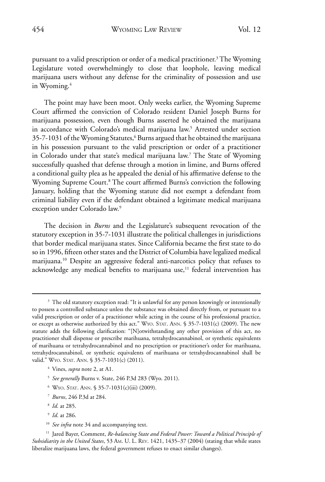pursuant to a valid prescription or order of a medical practitioner.<sup>3</sup> The Wyoming Legislature voted overwhelmingly to close that loophole, leaving medical marijuana users without any defense for the criminality of possession and use in Wyoming.<sup>4</sup>

The point may have been moot. Only weeks earlier, the Wyoming Supreme Court affirmed the conviction of Colorado resident Daniel Joseph Burns for marijuana possession, even though Burns asserted he obtained the marijuana in accordance with Colorado's medical marijuana law.<sup>5</sup> Arrested under section 35-7-1031 of the Wyoming Statutes,<sup>6</sup> Burns argued that he obtained the marijuana in his possession pursuant to the valid prescription or order of a practitioner in Colorado under that state's medical marijuana law.7 The State of Wyoming successfully quashed that defense through a motion in limine, and Burns offered a conditional guilty plea as he appealed the denial of his affirmative defense to the Wyoming Supreme Court.<sup>8</sup> The court affirmed Burns's conviction the following January, holding that the Wyoming statute did not exempt a defendant from criminal liability even if the defendant obtained a legitimate medical marijuana exception under Colorado law.<sup>9</sup>

The decision in *Burns* and the Legislature's subsequent revocation of the statutory exception in 35-7-1031 illustrate the political challenges in jurisdictions that border medical marijuana states. Since California became the first state to do so in 1996, fifteen other states and the District of Columbia have legalized medical marijuana.10 Despite an aggressive federal anti-narcotics policy that refuses to acknowledge any medical benefits to marijuana use,<sup>11</sup> federal intervention has

- <sup>4</sup> Vines, *supra* note 2, at A1.
- <sup>5</sup> *See generally* Burns v. State, 246 P.3d 283 (Wyo. 2011).
- $6$  Wyo. Stat. Ann. § 35-7-1031(c)(iii) (2009).
- <sup>7</sup> *Burns*, 246 P.3d at 284.
- <sup>8</sup> *Id*. at 285.
- <sup>9</sup> *Id*. at 286.
- <sup>10</sup> *See infra* note 34 and accompanying text.

<sup>&</sup>lt;sup>3</sup> The old statutory exception read: "It is unlawful for any person knowingly or intentionally to possess a controlled substance unless the substance was obtained directly from, or pursuant to a valid prescription or order of a practitioner while acting in the course of his professional practice, or except as otherwise authorized by this act." WYO. STAT. ANN. § 35-7-1031(c) (2009). The new statute adds the following clarification: "[N]otwithstanding any other provision of this act, no practitioner shall dispense or prescribe marihuana, tetrahydrocannabinol, or synthetic equivalents of marihuana or tetrahydrocannabinol and no prescription or practitioner's order for marihuana, tetrahydrocannabinol, or synthetic equivalents of marihuana or tetrahydrocannabinol shall be valid." WYO. STAT. ANN. § 35-7-1031(c) (2011).

<sup>11</sup> Jared Bayer, Comment, *Re-balancing State and Federal Power: Toward a Political Principle of Subsidiarity in the United States*, 53 Am. U. L. Rev. 1421, 1435–37 (2004) (stating that while states liberalize marijuana laws, the federal government refuses to enact similar changes).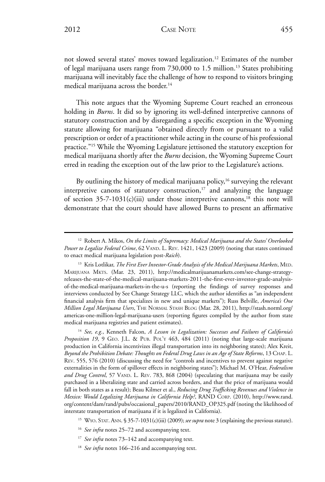not slowed several states' moves toward legalization.12 Estimates of the number of legal marijuana users range from 730,000 to 1.5 million.13 States prohibiting marijuana will inevitably face the challenge of how to respond to visitors bringing medical marijuana across the border.<sup>14</sup>

This note argues that the Wyoming Supreme Court reached an erroneous holding in *Burns*. It did so by ignoring its well-defined interpretive cannons of statutory construction and by disregarding a specific exception in the Wyoming statute allowing for marijuana "obtained directly from or pursuant to a valid prescription or order of a practitioner while acting in the course of his professional practice."15 While the Wyoming Legislature jettisoned the statutory exception for medical marijuana shortly after the *Burns* decision, the Wyoming Supreme Court erred in reading the exception out of the law prior to the Legislature's actions.

By outlining the history of medical marijuana policy,<sup>16</sup> surveying the relevant interpretive canons of statutory construction, $17$  and analyzing the language of section  $35-7-1031(c)$ (iii) under those interpretive cannons,<sup>18</sup> this note will demonstrate that the court should have allowed Burns to present an affirmative

<sup>14</sup> *See, e.g.*, Kenneth Falcon, *A Lesson in Legalization: Successes and Failures of California's Proposition 19*, 9 Geo. J.L. & Pub. Pol'y 463, 484 (2011) (noting that large-scale marijuana production in California incentivizes illegal transportation into its neighboring states); Alex Kreit, *Beyond the Prohibition Debate: Thoughts on Federal Drug Laws in an Age of State Reforms*, 13 Chap. L. Rev. 555, 576 (2010) (discussing the need for "controls and incentives to prevent against negative externalities in the form of spillover effects in neighboring states"); Michael M. O'Hear, *Federalism*  and Drug Control, 57 VAND. L. REV. 783, 868 (2004) (speculating that marijuana may be easily purchased in a liberalizing state and carried across borders, and that the price of marijuana would fall in both states as a result); Beau Kilmer et al., *Reducing Drug Trafficking Revenues and Violence in Mexico: Would Legalizing Marijuana in California Help?*, RAND Corp. (2010), http://www.rand. org/content/dam/rand/pubs/occasional\_papers/2010/RAND\_OP325.pdf (noting the likelihood of interstate transportation of marijuana if it is legalized in California).

<sup>12</sup> Robert A. Mikos, *On the Limits of Supremacy: Medical Marijuana and the States' Overlooked*  Power to Legalize Federal Crime, 62 VAND. L. REV. 1421, 1423 (2009) (noting that states continued to enact medical marijuana legislation post-*Raich*).

<sup>13</sup> Kris Lotlikar, *The First Ever Investor-Grade Analysis of the Medical Marijuana Markets*, Med. Marijuana Mkts. (Mar. 23, 2011), http://medicalmarijuanamarkets.com/see-change-strategyreleases-the-state-of-the-medical-marijuana-markets-2011-the-first-ever-investor-grade-analysisof-the-medical-marijuana-markets-in-the-u-s (reporting the findings of survey responses and interviews conducted by See Change Strategy LLC, which the author identifies as "an independent financial analysis firm that specializes in new and unique markets"); Russ Belville, *America's One Million Legal Marijuana Users*, The Normal Stash Blog (Mar. 28, 2011), http://stash.norml.org/ americas-one-million-legal-marijuana-users (reporting figures compiled by the author from state medical marijuana registries and patient estimates).

<sup>15</sup> Wyo. Stat. Ann. § 35-7-1031(c)(iii) (2009); *see supra* note 3 (explaining the previous statute).

<sup>&</sup>lt;sup>16</sup> See infra notes 25-72 and accompanying text.

<sup>&</sup>lt;sup>17</sup> See infra notes 73–142 and accompanying text.

<sup>&</sup>lt;sup>18</sup> See infra notes 166–216 and accompanying text.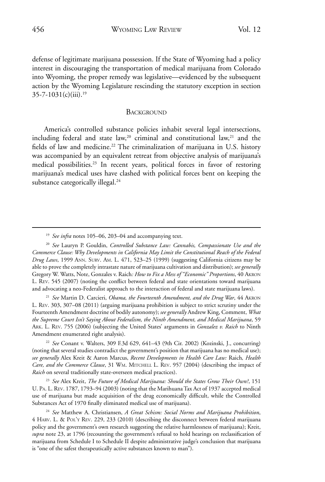defense of legitimate marijuana possession. If the State of Wyoming had a policy interest in discouraging the transportation of medical marijuana from Colorado into Wyoming, the proper remedy was legislative—evidenced by the subsequent action by the Wyoming Legislature rescinding the statutory exception in section  $35 - 7 - 1031(c)$ (iii).<sup>19</sup>

#### **BACKGROUND**

America's controlled substance policies inhabit several legal intersections, including federal and state law,<sup>20</sup> criminal and constitutional law,<sup>21</sup> and the fields of law and medicine.<sup>22</sup> The criminalization of marijuana in U.S. history was accompanied by an equivalent retreat from objective analysis of marijuana's medical possibilities.<sup>23</sup> In recent years, political forces in favor of restoring marijuana's medical uses have clashed with political forces bent on keeping the substance categorically illegal.<sup>24</sup>

<sup>21</sup> *See* Martin D. Carcieri, *Obama, the Fourteenth Amendment, and the Drug War*, 44 Akron L. Rev. 303, 307–08 (2011) (arguing marijuana prohibition is subject to strict scrutiny under the Fourteenth Amendment doctrine of bodily autonomy); *see generally* Andrew King, Comment, *What the Supreme Court Isn't Saying About Federalism, the Ninth Amendment, and Medical Marijuana*, 59 Ark. L. Rev. 755 (2006) (subjecting the United States' arguments in *Gonzalez v. Raich* to Ninth Amendment enumerated right analysis).

<sup>22</sup> *See* Conant v. Walters, 309 F.3d 629, 641–43 (9th Cir. 2002) (Kozinski, J., concurring) (noting that several studies contradict the government's position that marijuana has no medical use); *see generally* Alex Kreit & Aaron Marcus, *Recent Developments in Health Care Law:* Raich*, Health Care, and the Commerce Clause*, 31 Wm. Mitchell L. Rev. 957 (2004) (describing the impact of *Raich* on several traditionally state-overseen medical practices).

<sup>23</sup> *See* Alex Kreit, *The Future of Medical Marijuana: Should the States Grow Their Own?*, 151 U. Pa. L. Rev. 1787, 1793–94 (2003) (noting that the Marihuana Tax Act of 1937 accepted medical use of marijuana but made acquisition of the drug economically difficult, while the Controlled Substances Act of 1970 finally eliminated medical use of marijuana).

<sup>24</sup> *See* Matthew A. Christiansen, *A Great Schism: Social Norms and Marijuana Prohibition*, 4 Harv. L. & Pol'y Rev. 229, 233 (2010) (describing the disconnect between federal marijuana policy and the government's own research suggesting the relative harmlessness of marijuana); Kreit, *supra* note 23, at 1796 (recounting the government's refusal to hold hearings on reclassification of marijuana from Schedule I to Schedule II despite administrative judge's conclusion that marijuana is "one of the safest therapeutically active substances known to man").

<sup>&</sup>lt;sup>19</sup> See infra notes 105-06, 203-04 and accompanying text.

<sup>20</sup> *See* Lauryn P. Gouldin, *Controlled Substance Law: Cannabis, Compassionate Use and the Commerce Clause: Why Developments in California May Limit the Constitutional Reach of the Federal Drug Laws*, 1999 Ann. Surv. Am. L. 471, 523–25 (1999) (suggesting California citizens may be able to prove the completely intrastate nature of marijuana cultivation and distribution); *see generally*  Gregory W. Watts, Note, Gonzales v. Raich*: How to Fix a Mess of "Economic" Proportions*, 40 Akron L. Rev. 545 (2007) (noting the conflict between federal and state orientations toward marijuana and advocating a neo-Federalist approach to the interaction of federal and state marijuana laws).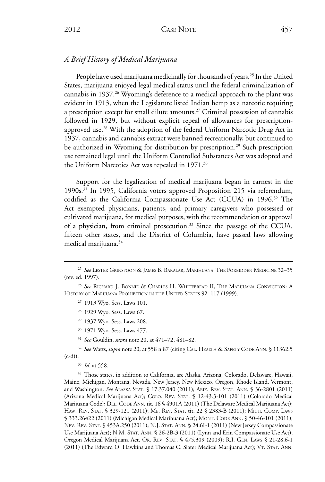### *A Brief History of Medical Marijuana*

People have used marijuana medicinally for thousands of years.<sup>25</sup> In the United States, marijuana enjoyed legal medical status until the federal criminalization of cannabis in 1937.<sup>26</sup> Wyoming's deference to a medical approach to the plant was evident in 1913, when the Legislature listed Indian hemp as a narcotic requiring a prescription except for small dilute amounts.27 Criminal possession of cannabis followed in 1929, but without explicit repeal of allowances for prescriptionapproved use.28 With the adoption of the federal Uniform Narcotic Drug Act in 1937, cannabis and cannabis extract were banned recreationally, but continued to be authorized in Wyoming for distribution by prescription.<sup>29</sup> Such prescription use remained legal until the Uniform Controlled Substances Act was adopted and the Uniform Narcotics Act was repealed in 1971.<sup>30</sup>

Support for the legalization of medical marijuana began in earnest in the 1990s.31 In 1995, California voters approved Proposition 215 via referendum, codified as the California Compassionate Use Act (CCUA) in 1996.<sup>32</sup> The Act exempted physicians, patients, and primary caregivers who possessed or cultivated marijuana, for medical purposes, with the recommendation or approval of a physician, from criminal prosecution.33 Since the passage of the CCUA, fifteen other states, and the District of Columbia, have passed laws allowing medical marijuana.34

- <sup>30</sup> 1971 Wyo. Sess. Laws 477.
- <sup>31</sup> *See* Gouldin, *supra* note 20, at 471–72, 481–82.

<sup>32</sup> See Watts, *supra* note 20, at 558 n.87 (citing CAL. HEALTH & SAFETY CODE ANN. § 11362.5  $(c-d)$ .

<sup>33</sup> *Id.* at 558.

<sup>34</sup> Those states, in addition to California, are Alaska, Arizona, Colorado, Delaware, Hawaii, Maine, Michigan, Montana, Nevada, New Jersey, New Mexico, Oregon, Rhode Island, Vermont, and Washington. *See* Alaska Stat. § 17.37.040 (2011); Ariz. Rev. Stat. Ann. § 36-2801 (2011) (Arizona Medical Marijuana Act); Colo. Rev. Stat. § 12-43.3-101 (2011) (Colorado Medical Marijuana Code); DEL. CODE ANN. tit. 16 § 4901A (2011) (The Delaware Medical Marijuana Act); Haw. Rev. Stat. § 329-121 (2011); Me. Rev. Stat. tit. 22 § 2383-B (2011); Mich. Comp. Laws § 333.26422 (2011) (Michigan Medical Marihuana Act); MONT. CODE ANN. § 50-46-101 (2011); Nev. Rev. Stat. § 453A.250 (2011); N.J. Stat. Ann. § 24:6I-1 (2011) (New Jersey Compassionate Use Marijuana Act); N.M. STAT. ANN. § 26-2B-3 (2011) (Lynn and Erin Compassionate Use Act); Oregon Medical Marijuana Act, Or. Rev. Stat. § 475.309 (2009); R.I. Gen. Laws § 21-28.6-1 (2011) (The Edward O. Hawkins and Thomas C. Slater Medical Marijuana Act); VT. STAT. ANN.

<sup>25</sup> *See* Lester Grinspoon & James B. Bakalar, Marihuana: The Forbidden Medicine 32–35 (rev. ed. 1997).

<sup>26</sup> *See* Richard J. Bonnie & Charles H. Whitebread II, The Marijuana Conviction: A HISTORY OF MARIJUANA PROHIBITION IN THE UNITED STATES 92-117 (1999).

<sup>27</sup> 1913 Wyo. Sess. Laws 101.

<sup>&</sup>lt;sup>28</sup> 1929 Wyo. Sess. Laws 67.

<sup>29</sup> 1937 Wyo. Sess. Laws 208.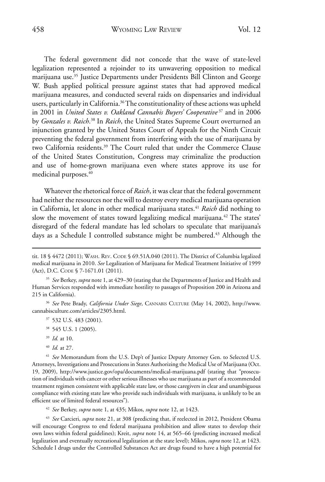The federal government did not concede that the wave of state-level legalization represented a rejoinder to its unwavering opposition to medical marijuana use.35 Justice Departments under Presidents Bill Clinton and George W. Bush applied political pressure against states that had approved medical marijuana measures, and conducted several raids on dispensaries and individual users, particularly in California.<sup>36</sup> The constitutionality of these actions was upheld in 2001 in *United States v. Oakland Cannabis Buyers' Cooperative* <sup>37</sup> and in 2006 by *Gonzales v. Raich*. 38 In *Raich*, the United States Supreme Court overturned an injunction granted by the United States Court of Appeals for the Ninth Circuit preventing the federal government from interfering with the use of marijuana by two California residents.<sup>39</sup> The Court ruled that under the Commerce Clause of the United States Constitution, Congress may criminalize the production and use of home-grown marijuana even where states approve its use for medicinal purposes.<sup>40</sup>

Whatever the rhetorical force of *Raich*, it was clear that the federal government had neither the resources nor the will to destroy every medical marijuana operation in California, let alone in other medical marijuana states.41 *Raich* did nothing to slow the movement of states toward legalizing medical marijuana.<sup>42</sup> The states' disregard of the federal mandate has led scholars to speculate that marijuana's days as a Schedule I controlled substance might be numbered.<sup>43</sup> Although the

<sup>35</sup> *See* Berkey, *supra* note 1, at 429–30 (stating that the Departments of Justice and Health and Human Services responded with immediate hostility to passages of Proposition 200 in Arizona and 215 in California).

<sup>36</sup> *See* Pete Brady, *California Under Siege*, Cannabis Culture (May 14, 2002), http://www. cannabisculture.com/articles/2305.html.

- <sup>37</sup> 532 U.S. 483 (2001).
- <sup>38</sup> 545 U.S. 1 (2005).
- <sup>39</sup> *Id.* at 10.
- <sup>40</sup> *Id.* at 27.

<sup>41</sup> *See* Memorandum from the U.S. Dep't of Justice Deputy Attorney Gen. to Selected U.S. Attorneys, Investigations and Prosecutions in States Authorizing the Medical Use of Marijuana (Oct. 19, 2009), http://www.justice.gov/opa/documents/medical-marijuana.pdf (stating that "prosecution of individuals with cancer or other serious illnesses who use marijuana as part of a recommended treatment regimen consistent with applicable state law, or those caregivers in clear and unambiguous compliance with existing state law who provide such individuals with marijuana, is unlikely to be an efficient use of limited federal resources").

<sup>42</sup> *See* Berkey, *supra* note 1, at 435; Mikos, *supra* note 12, at 1423.

<sup>43</sup> *See* Carcieri, *supra* note 21, at 308 (predicting that, if reelected in 2012, President Obama will encourage Congress to end federal marijuana prohibition and allow states to develop their own laws within federal guidelines); Kreit, *supra* note 14, at 565–66 (predicting increased medical legalization and eventually recreational legalization at the state level); Mikos, *supra* note 12, at 1423. Schedule I drugs under the Controlled Substances Act are drugs found to have a high potential for

tit. 18 § 4472 (2011); WASH. REV. CODE § 69.51A.040 (2011). The District of Columbia legalized medical marijuana in 2010. *See* Legalization of Marijuana for Medical Treatment Initiative of 1999 (Act), D.C. CODE § 7-1671.01 (2011).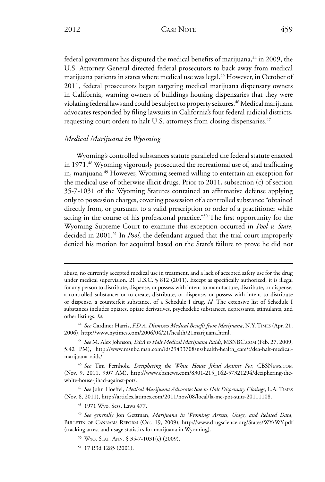federal government has disputed the medical benefits of marijuana,<sup>44</sup> in 2009, the U.S. Attorney General directed federal prosecutors to back away from medical marijuana patients in states where medical use was legal.<sup>45</sup> However, in October of 2011, federal prosecutors began targeting medical marijuana dispensary owners in California, warning owners of buildings housing dispensaries that they were violating federal laws and could be subject to property seizures.<sup>46</sup> Medical marijuana advocates responded by filing lawsuits in California's four federal judicial districts, requesting court orders to halt U.S. attorneys from closing dispensaries.<sup>47</sup>

### *Medical Marijuana in Wyoming*

Wyoming's controlled substances statute paralleled the federal statute enacted in 1971.<sup>48</sup> Wyoming vigorously prosecuted the recreational use of, and trafficking in, marijuana.<sup>49</sup> However, Wyoming seemed willing to entertain an exception for the medical use of otherwise illicit drugs. Prior to 2011, subsection (c) of section 35-7-1031 of the Wyoming Statutes contained an affirmative defense applying only to possession charges, covering possession of a controlled substance "obtained directly from, or pursuant to a valid prescription or order of a practitioner while acting in the course of his professional practice."50 The first opportunity for the Wyoming Supreme Court to examine this exception occurred in *Pool v. State*, decided in 2001.51 In *Pool*, the defendant argued that the trial court improperly denied his motion for acquittal based on the State's failure to prove he did not

<sup>47</sup> *See* John Hoeffel, *Medical Marijuana Advocates Sue to Halt Dispensary Closings*, L.A. Times (Nov. 8, 2011), http://articles.latimes.com/2011/nov/08/local/la-me-pot-suits-20111108.

<sup>48</sup> 1971 Wyo. Sess. Laws 477.

abuse, no currently accepted medical use in treatment, and a lack of accepted safety use for the drug under medical supervision. 21 U.S.C. § 812 (2011). Except as specifically authorized, it is illegal for any person to distribute, dispense, or possess with intent to manufacture, distribute, or dispense, a controlled substance; or to create, distribute, or dispense, or possess with intent to distribute or dispense, a counterfeit substance, of a Schedule I drug. *Id.* The extensive list of Schedule I substances includes opiates, opiate derivatives, psychedelic substances, depressants, stimulants, and other listings. *Id.*

<sup>44</sup> *See* Gardiner Harris, *F.D.A. Dismisses Medical Benefit from Marijuana*, N.Y. Times (Apr. 21, 2006), http://www.nytimes.com/2006/04/21/health/21marijuana.html.

<sup>45</sup> *See* M. Alex Johnson, *DEA to Halt Medical Marijuana Raids*, MSNBC.com (Feb. 27, 2009, 5:42 PM), http://www.msnbc.msn.com/id/29433708/ns/health-health\_care/t/dea-halt-medicalmarijuana-raids/.

<sup>46</sup> *See* Tim Fernholz, *Deciphering the White House Jihad Against Pot*, CBSNews.com (Nov. 9, 2011, 9:07 AM), http://www.cbsnews.com/8301-215\_162-57321294/deciphering-thewhite-house-jihad-against-pot/.

<sup>49</sup> *See generally* Jon Gettman, *Marijuana in Wyoming: Arrests, Usage, and Related Data*, BULLETIN OF CANNABIS REFORM (Oct. 19, 2009), http://www.drugscience.org/States/WY/WY.pdf (tracking arrest and usage statistics for marijuana in Wyoming).

<sup>50</sup> Wyo. Stat. Ann. § 35-7-1031(c) (2009).

<sup>51</sup> 17 P.3d 1285 (2001).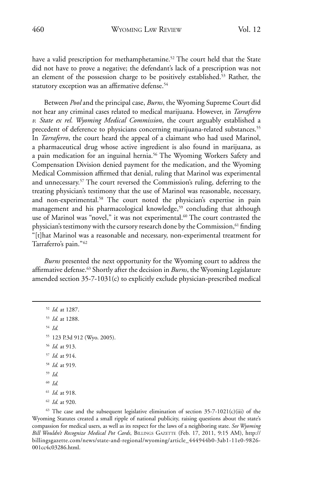have a valid prescription for methamphetamine.<sup>52</sup> The court held that the State did not have to prove a negative; the defendant's lack of a prescription was not an element of the possession charge to be positively established.<sup>53</sup> Rather, the statutory exception was an affirmative defense.<sup>54</sup>

Between *Pool* and the principal case, *Burns*, the Wyoming Supreme Court did not hear any criminal cases related to medical marijuana. However, in *Tarraferro v. State ex rel. Wyoming Medical Commission*, the court arguably established a precedent of deference to physicians concerning marijuana-related substances.<sup>55</sup> In *Tarraferro*, the court heard the appeal of a claimant who had used Marinol, a pharmaceutical drug whose active ingredient is also found in marijuana, as a pain medication for an inguinal hernia.56 The Wyoming Workers Safety and Compensation Division denied payment for the medication, and the Wyoming Medical Commission affirmed that denial, ruling that Marinol was experimental and unnecessary.57 The court reversed the Commission's ruling, deferring to the treating physician's testimony that the use of Marinol was reasonable, necessary, and non-experimental.<sup>58</sup> The court noted the physician's expertise in pain management and his pharmacological knowledge,<sup>59</sup> concluding that although use of Marinol was "novel," it was not experimental.<sup>60</sup> The court contrasted the physician's testimony with the cursory research done by the Commission,<sup>61</sup> finding "[t]hat Marinol was a reasonable and necessary, non-experimental treatment for Tarraferro's pain."62

*Burns* presented the next opportunity for the Wyoming court to address the affirmative defense.63 Shortly after the decision in *Burns*, the Wyoming Legislature amended section 35-7-1031(c) to explicitly exclude physician-prescribed medical

 *Id.* at 1287. *Id.* at 1288. <sup>54</sup> *Id.* 123 P.3d 912 (Wyo. 2005). *Id.* at 913. *Id.* at 914. *Id.* at 919. <sup>59</sup> *Id.* <sup>60</sup> *Id. Id.* at 918. *Id.* at 920.

 $63$  The case and the subsequent legislative elimination of section 35-7-1021(c)(iii) of the Wyoming Statutes created a small ripple of national publicity, raising questions about the state's compassion for medical users, as well as its respect for the laws of a neighboring state. *See Wyoming Bill Wouldn't Recognize Medical Pot Cards*, Billings Gazette (Feb. 17, 2011, 9:15 AM), http:// billingsgazette.com/news/state-and-regional/wyoming/article\_444944b0-3ab1-11e0-9826- 001cc4c03286.html.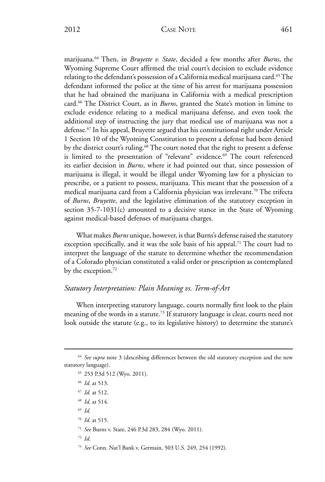marijuana.64 Then, in *Bruyette v. State*, decided a few months after *Burns*, the Wyoming Supreme Court affirmed the trial court's decision to exclude evidence relating to the defendant's possession of a California medical marijuana card.<sup>65</sup> The defendant informed the police at the time of his arrest for marijuana possession that he had obtained the marijuana in California with a medical prescription card.66 The District Court, as in *Burns*, granted the State's motion in limine to exclude evidence relating to a medical marijuana defense, and even took the additional step of instructing the jury that medical use of marijuana was not a defense.67 In his appeal, Bruyette argued that his constitutional right under Article 1 Section 10 of the Wyoming Constitution to present a defense had been denied by the district court's ruling.<sup>68</sup> The court noted that the right to present a defense is limited to the presentation of "relevant" evidence.<sup>69</sup> The court referenced its earlier decision in *Burns*, where it had pointed out that, since possession of marijuana is illegal, it would be illegal under Wyoming law for a physician to prescribe, or a patient to possess, marijuana. This meant that the possession of a medical marijuana card from a California physician was irrelevant.70 The trifecta of *Burns*, *Bruyette*, and the legislative elimination of the statutory exception in section 35-7-1031(c) amounted to a decisive stance in the State of Wyoming against medical-based defenses of marijuana charges.

What makes *Burns* unique, however, is that Burns's defense raised the statutory exception specifically, and it was the sole basis of his appeal.<sup>71</sup> The court had to interpret the language of the statute to determine whether the recommendation of a Colorado physician constituted a valid order or prescription as contemplated by the exception.<sup>72</sup>

### *Statutory Interpretation: Plain Meaning vs. Term-of-Art*

When interpreting statutory language, courts normally first look to the plain meaning of the words in a statute.<sup>73</sup> If statutory language is clear, courts need not look outside the statute (e.g., to its legislative history) to determine the statute's

- <sup>65</sup> 253 P.3d 512 (Wyo. 2011).
- <sup>66</sup> *Id.* at 513.
- <sup>67</sup> *Id.* at 512.
- <sup>68</sup> *Id.* at 514.
- <sup>69</sup> *Id.*
- <sup>70</sup> *Id.* at 515.
- <sup>71</sup> *See* Burns v. State, 246 P.3d 283, 284 (Wyo. 2011).
- <sup>72</sup> *Id*.
- <sup>73</sup> *See* Conn. Nat'l Bank v. Germain, 503 U.S. 249, 254 (1992).

<sup>64</sup> *See supra* note 3 (describing differences between the old statutory exception and the new statutory language).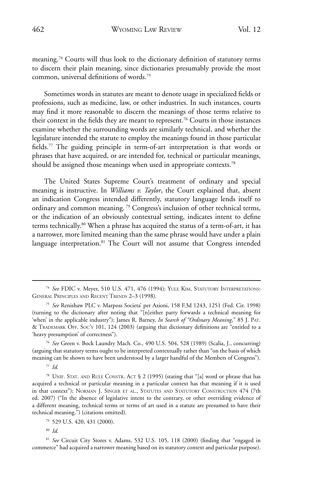meaning.74 Courts will thus look to the dictionary definition of statutory terms to discern their plain meaning, since dictionaries presumably provide the most common, universal definitions of words.75

Sometimes words in statutes are meant to denote usage in specialized fields or professions, such as medicine, law, or other industries. In such instances, courts may find it more reasonable to discern the meanings of those terms relative to their context in the fields they are meant to represent.<sup>76</sup> Courts in those instances examine whether the surrounding words are similarly technical, and whether the legislature intended the statute to employ the meanings found in those particular fields.77 The guiding principle in term-of-art interpretation is that words or phrases that have acquired, or are intended for, technical or particular meanings, should be assigned those meanings when used in appropriate contexts.<sup>78</sup>

The United States Supreme Court's treatment of ordinary and special meaning is instructive. In *Williams v. Taylor*, the Court explained that, absent an indication Congress intended differently, statutory language lends itself to ordinary and common meaning. 79 Congress's inclusion of other technical terms, or the indication of an obviously contextual setting, indicates intent to define terms technically.80 When a phrase has acquired the status of a term-of-art, it has a narrower, more limited meaning than the same phrase would have under a plain language interpretation.<sup>81</sup> The Court will not assume that Congress intended

<sup>76</sup> *See* Green v. Bock Laundry Mach. Co., 490 U.S. 504, 528 (1989) (Scalia, J., concurring) (arguing that statutory terms ought to be interpreted contextually rather than "on the basis of which meaning can be shown to have been understood by a larger handful of the Members of Congress").

<sup>77</sup> *Id.*

<sup>78</sup> UNIF. STAT. AND RULE CONSTR. ACT § 2 (1995) (stating that "[a] word or phrase that has acquired a technical or particular meaning in a particular context has that meaning if it is used in that context"); Norman J. Singer et al., Statutes and Statutory Construction 474 (7th ed. 2007) ("In the absence of legislative intent to the contrary, or other overriding evidence of a different meaning, technical terms or terms of art used in a statute are presumed to have their technical meaning.") (citations omitted).

<sup>79</sup> 529 U.S. 420, 431 (2000).

<sup>80</sup> *Id.*

<sup>81</sup> *See* Circuit City Stores v. Adams, 532 U.S. 105, 118 (2000) (finding that "engaged in commerce" had acquired a narrower meaning based on its statutory context and particular purpose).

<sup>74</sup> *See* FDIC v. Meyer, 510 U.S. 471, 476 (1994); Yule Kim, Statutory Interpretations: General Principles and Recent Trends 2–3 (1998).

<sup>75</sup> *See* Renishaw PLC v. Marposs Societa' per Azioni, 158 F.3d 1243, 1251 (Fed. Cir. 1998) (turning to the dictionary after noting that "[n]either party forwards a technical meaning for 'when' in the applicable industry"); James R. Barney, In Search of "Ordinary Meaning," 85 J. PAT. & Trademark Off. Soc'y 101, 124 (2003) (arguing that dictionary definitions are "entitled to a 'heavy presumption' of correctness").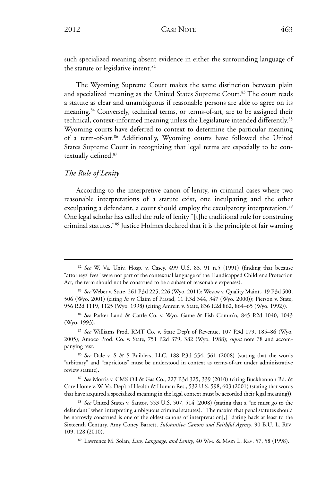such specialized meaning absent evidence in either the surrounding language of the statute or legislative intent.<sup>82</sup>

The Wyoming Supreme Court makes the same distinction between plain and specialized meaning as the United States Supreme Court.<sup>83</sup> The court reads a statute as clear and unambiguous if reasonable persons are able to agree on its meaning.84 Conversely, technical terms, or terms-of-art, are to be assigned their technical, context-informed meaning unless the Legislature intended differently.85 Wyoming courts have deferred to context to determine the particular meaning of a term-of-art.<sup>86</sup> Additionally, Wyoming courts have followed the United States Supreme Court in recognizing that legal terms are especially to be contextually defined.87

#### *The Rule of Lenity*

According to the interpretive canon of lenity, in criminal cases where two reasonable interpretations of a statute exist, one inculpating and the other exculpating a defendant, a court should employ the exculpatory interpretation.<sup>88</sup> One legal scholar has called the rule of lenity "[t]he traditional rule for construing criminal statutes."89 Justice Holmes declared that it is the principle of fair warning

<sup>88</sup> *See* United States v. Santos, 553 U.S. 507, 514 (2008) (stating that a "tie must go to the defendant" when interpreting ambiguous criminal statutes). "The maxim that penal statutes should be narrowly construed is one of the oldest canons of interpretation[,]" dating back at least to the Sixteenth Century. Amy Coney Barrett, *Substantive Canons and Faithful Agency*, 90 B.U. L. Rev. 109, 128 (2010).

<sup>89</sup> Lawrence M. Solan, *Law, Language, and Lenity*, 40 Wm. & Mary L. Rev. 57, 58 (1998).

<sup>82</sup> *See* W. Va. Univ. Hosp. v. Casey, 499 U.S. 83, 91 n.5 (1991) (finding that because "attorneys' fees" were not part of the contextual language of the Handicapped Children's Protection Act, the term should not be construed to be a subset of reasonable expenses).

<sup>83</sup> *See* Weber v. State, 261 P.3d 225, 226 (Wyo. 2011); Wesaw v. Quality Maint., 19 P.3d 500, 506 (Wyo. 2001) (citing *In re* Claim of Prasad, 11 P.3d 344, 347 (Wyo. 2000)); Pierson v. State, 956 P.2d 1119, 1125 (Wyo. 1998) (citing Amrein v. State, 836 P.2d 862, 864–65 (Wyo. 1992)).

<sup>84</sup> *See* Parker Land & Cattle Co. v. Wyo. Game & Fish Comm'n, 845 P.2d 1040, 1043 (Wyo. 1993).

<sup>85</sup> *See* Williams Prod. RMT Co. v. State Dep't of Revenue, 107 P.3d 179, 185–86 (Wyo. 2005); Amoco Prod. Co. v. State, 751 P.2d 379, 382 (Wyo. 1988); *supra* note 78 and accompanying text.

<sup>86</sup> *See* Dale v. S & S Builders, LLC, 188 P.3d 554, 561 (2008) (stating that the words "arbitrary" and "capricious" must be understood in context as terms-of-art under administrative review statute).

<sup>87</sup> *See* Morris v. CMS Oil & Gas Co., 227 P.3d 325, 339 (2010) (citing Buckhannon Bd. & Care Home v. W. Va. Dep't of Health & Human Res., 532 U.S. 598, 603 (2001) (stating that words that have acquired a specialized meaning in the legal context must be accorded their legal meaning)).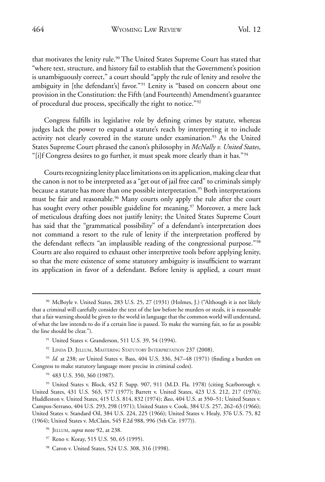that motivates the lenity rule.<sup>90</sup> The United States Supreme Court has stated that "where text, structure, and history fail to establish that the Government's position is unambiguously correct," a court should "apply the rule of lenity and resolve the ambiguity in [the defendant's] favor."<sup>91</sup> Lenity is "based on concern about one provision in the Constitution: the Fifth (and Fourteenth) Amendment's guarantee of procedural due process, specifically the right to notice."92

Congress fulfills its legislative role by defining crimes by statute, whereas judges lack the power to expand a statute's reach by interpreting it to include activity not clearly covered in the statute under examination.<sup>93</sup> As the United States Supreme Court phrased the canon's philosophy in *McNally v. United States*, "[i]f Congress desires to go further, it must speak more clearly than it has."<sup>94</sup>

Courts recognizing lenity place limitations on its application, making clear that the canon is not to be interpreted as a "get out of jail free card" to criminals simply because a statute has more than one possible interpretation.<sup>95</sup> Both interpretations must be fair and reasonable.<sup>96</sup> Many courts only apply the rule after the court has sought every other possible guideline for meaning.<sup>97</sup> Moreover, a mere lack of meticulous drafting does not justify lenity; the United States Supreme Court has said that the "grammatical possibility" of a defendant's interpretation does not command a resort to the rule of lenity if the interpretation proffered by the defendant reflects "an implausible reading of the congressional purpose."98 Courts are also required to exhaust other interpretive tools before applying lenity, so that the mere existence of some statutory ambiguity is insufficient to warrant its application in favor of a defendant. Before lenity is applied, a court must

- <sup>91</sup> United States v. Granderson, 511 U.S. 39, 54 (1994).
- 92 LINDA D. JELLUM, MASTERING STATUTORY INTERPRETATION 237 (2008).

<sup>93</sup> *Id.* at 238; *see* United States v. Bass, 404 U.S. 336, 347–48 (1971) (finding a burden on Congress to make statutory language more precise in criminal codes).

<sup>94</sup> 483 U.S. 350, 360 (1987).

<sup>95</sup> United States v. Block, 452 F. Supp. 907, 911 (M.D. Fla. 1978) (citing Scarborough v. United States, 431 U.S. 563, 577 (1977); Barrett v. United States, 423 U.S. 212, 217 (1976); Huddleston v. United States, 415 U.S. 814, 832 (1974); *Bass*, 404 U.S. at 350–51; United States v. Campos-Serrano, 404 U.S. 293, 298 (1971); United States v. Cook, 384 U.S. 257, 262–63 (1966); United States v. Standard Oil, 384 U.S. 224, 225 (1966); United States v. Healy, 376 U.S. 75, 82 (1964); United States v. McClain, 545 F.2d 988, 996 (5th Cir. 1977)).

- <sup>96</sup> Jellum, *supra* note 92, at 238.
- <sup>97</sup> Reno v. Koray, 515 U.S. 50, 65 (1995).
- <sup>98</sup> Caron v. United States, 524 U.S. 308, 316 (1998).

<sup>90</sup> McBoyle v. United States, 283 U.S. 25, 27 (1931) (Holmes, J.) ("Although it is not likely that a criminal will carefully consider the text of the law before he murders or steals, it is reasonable that a fair warning should be given to the world in language that the common world will understand, of what the law intends to do if a certain line is passed. To make the warning fair, so far as possible the line should be clear.").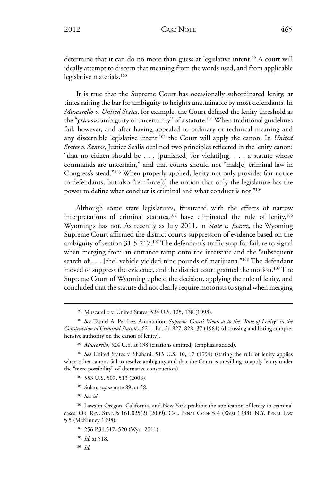determine that it can do no more than guess at legislative intent.<sup>99</sup> A court will ideally attempt to discern that meaning from the words used, and from applicable legislative materials.<sup>100</sup>

It is true that the Supreme Court has occasionally subordinated lenity, at times raising the bar for ambiguity to heights unattainable by most defendants. In *Muscarello v. United States*, for example, the Court defined the lenity threshold as the "grievous ambiguity or uncertainty" of a statute.<sup>101</sup> When traditional guidelines fail, however, and after having appealed to ordinary or technical meaning and any discernible legislative intent,<sup>102</sup> the Court will apply the canon. In *United States v. Santos*, Justice Scalia outlined two principles reflected in the lenity canon: "that no citizen should be  $\ldots$  [punished] for violati[ng]  $\ldots$  a statute whose commands are uncertain," and that courts should not "mak[e] criminal law in Congress's stead."103 When properly applied, lenity not only provides fair notice to defendants, but also "reinforce[s] the notion that only the legislature has the power to define what conduct is criminal and what conduct is not."<sup>104</sup>

Although some state legislatures, frustrated with the effects of narrow interpretations of criminal statutes, $105$  have eliminated the rule of lenity, $106$ Wyoming's has not. As recently as July 2011, in *State v. Juarez*, the Wyoming Supreme Court affirmed the district court's suppression of evidence based on the ambiguity of section 31-5-217.<sup>107</sup> The defendant's traffic stop for failure to signal when merging from an entrance ramp onto the interstate and the "subsequent search of . . . [the] vehicle yielded nine pounds of marijuana."<sup>108</sup> The defendant moved to suppress the evidence, and the district court granted the motion.<sup>109</sup> The Supreme Court of Wyoming upheld the decision, applying the rule of lenity, and concluded that the statute did not clearly require motorists to signal when merging

- <sup>103</sup> 553 U.S. 507, 513 (2008).
- <sup>104</sup> Solan, *supra* note 89, at 58.
- <sup>105</sup> *See id.*

- <sup>107</sup> 256 P.3d 517, 520 (Wyo. 2011).
- <sup>108</sup> *Id.* at 518.

<sup>109</sup> *Id.* 

<sup>99</sup> Muscarello v. United States, 524 U.S. 125, 138 (1998).

<sup>100</sup> *See* Daniel A. Per-Lee, Annotation, *Supreme Court's Views as to the "Rule of Lenity" in the Construction of Criminal Statutes*, 62 L. Ed. 2d 827, 828–37 (1981) (discussing and listing comprehensive authority on the canon of lenity).

<sup>&</sup>lt;sup>101</sup> Muscarello, 524 U.S. at 138 (citations omitted) (emphasis added).

<sup>102</sup> *See* United States v. Shabani, 513 U.S. 10, 17 (1994) (stating the rule of lenity applies when other canons fail to resolve ambiguity and that the Court is unwilling to apply lenity under the "mere possibility" of alternative construction).

<sup>&</sup>lt;sup>106</sup> Laws in Oregon, California, and New York prohibit the application of lenity in criminal cases. Or. Rev. Stat. § 161.025(2) (2009); Cal. Penal Code § 4 (West 1988); N.Y. Penal Law § 5 (McKinney 1998).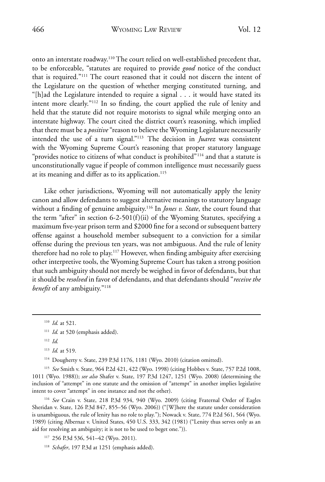onto an interstate roadway.110 The court relied on well-established precedent that, to be enforceable, "statutes are required to provide *good* notice of the conduct that is required."111 The court reasoned that it could not discern the intent of the Legislature on the question of whether merging constituted turning, and "[h]ad the Legislature intended to require a signal . . . it would have stated its intent more clearly."112 In so finding, the court applied the rule of lenity and held that the statute did not require motorists to signal while merging onto an interstate highway. The court cited the district court's reasoning, which implied that there must be a *positive* "reason to believe the Wyoming Legislature necessarily intended the use of a turn signal."113 The decision in *Juarez* was consistent with the Wyoming Supreme Court's reasoning that proper statutory language "provides notice to citizens of what conduct is prohibited"<sup>114</sup> and that a statute is unconstitutionally vague if people of common intelligence must necessarily guess at its meaning and differ as to its application.<sup>115</sup>

Like other jurisdictions, Wyoming will not automatically apply the lenity canon and allow defendants to suggest alternative meanings to statutory language without a finding of genuine ambiguity.116 In *Jones v. State*, the court found that the term "after" in section 6-2-501(f)(ii) of the Wyoming Statutes, specifying a maximum five-year prison term and \$2000 fine for a second or subsequent battery offense against a household member subsequent to a conviction for a similar offense during the previous ten years, was not ambiguous. And the rule of lenity therefore had no role to play.117 However, when finding ambiguity after exercising other interpretive tools, the Wyoming Supreme Court has taken a strong position that such ambiguity should not merely be weighed in favor of defendants, but that it should be *resolved* in favor of defendants, and that defendants should "*receive the benefit* of any ambiguity."118

<sup>114</sup> Dougherty v. State, 239 P.3d 1176, 1181 (Wyo. 2010) (citation omitted).

<sup>115</sup> *See* Smith v. State, 964 P.2d 421, 422 (Wyo. 1998) (citing Hobbes v. State, 757 P.2d 1008, 1011 (Wyo. 1988)); *see also* Shafer v. State, 197 P.3d 1247, 1251 (Wyo. 2008) (determining the inclusion of "attempt" in one statute and the omission of "attempt" in another implies legislative intent to cover "attempt" in one instance and not the other).

<sup>116</sup> *See* Crain v. State, 218 P.3d 934, 940 (Wyo. 2009) (citing Fraternal Order of Eagles Sheridan v. State, 126 P.3d 847, 855–56 (Wyo. 2006)) ("[W]here the statute under consideration is unambiguous, the rule of lenity has no role to play."); Nowack v. State, 774 P.2d 561, 564 (Wyo. 1989) (citing Albernaz v. United States, 450 U.S. 333, 342 (1981) ("Lenity thus serves only as an aid for resolving an ambiguity; it is not to be used to beget one.")).

<sup>117</sup> 256 P.3d 536, 541–42 (Wyo. 2011).

<sup>118</sup> *Schafer*, 197 P.3d at 1251 (emphasis added).

<sup>110</sup> *Id.* at 521.

<sup>&</sup>lt;sup>111</sup> *Id.* at 520 (emphasis added).

<sup>112</sup> *Id.*

<sup>113</sup> *Id.* at 519.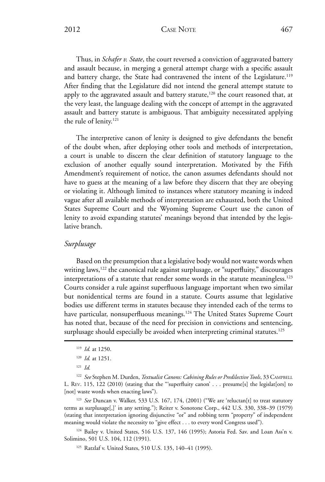2012 CASE NOTE 467

Thus, in *Schafer v. State*, the court reversed a conviction of aggravated battery and assault because, in merging a general attempt charge with a specific assault and battery charge, the State had contravened the intent of the Legislature.<sup>119</sup> After finding that the Legislature did not intend the general attempt statute to apply to the aggravated assault and battery statute,<sup>120</sup> the court reasoned that, at the very least, the language dealing with the concept of attempt in the aggravated assault and battery statute is ambiguous. That ambiguity necessitated applying the rule of lenity.<sup>121</sup>

The interpretive canon of lenity is designed to give defendants the benefit of the doubt when, after deploying other tools and methods of interpretation, a court is unable to discern the clear definition of statutory language to the exclusion of another equally sound interpretation. Motivated by the Fifth Amendment's requirement of notice, the canon assumes defendants should not have to guess at the meaning of a law before they discern that they are obeying or violating it. Although limited to instances where statutory meaning is indeed vague after all available methods of interpretation are exhausted, both the United States Supreme Court and the Wyoming Supreme Court use the canon of lenity to avoid expanding statutes' meanings beyond that intended by the legislative branch.

#### *Surplusage*

Based on the presumption that a legislative body would not waste words when writing laws,<sup>122</sup> the canonical rule against surplusage, or "superfluity," discourages interpretations of a statute that render some words in the statute meaningless.<sup>123</sup> Courts consider a rule against superfluous language important when two similar but nonidentical terms are found in a statute. Courts assume that legislative bodies use different terms in statutes because they intended each of the terms to have particular, nonsuperfluous meanings.<sup>124</sup> The United States Supreme Court has noted that, because of the need for precision in convictions and sentencing, surplusage should especially be avoided when interpreting criminal statutes.<sup>125</sup>

<sup>123</sup> *See* Duncan v. Walker, 533 U.S. 167, 174, (2001) ("We are 'reluctan[t] to treat statutory terms as surplusage[,]' in any setting."); Reiter v. Sonotone Corp., 442 U.S. 330, 338–39 (1979) (stating that interpretation ignoring disjunctive "or" and robbing term "property" of independent meaning would violate the necessity to "give effect . . . to every word Congress used").

<sup>124</sup> Bailey v. United States, 516 U.S. 137, 146 (1995); Astoria Fed. Sav. and Loan Ass'n v. Solimino, 501 U.S. 104, 112 (1991).

<sup>125</sup> Ratzlaf v. United States, 510 U.S. 135, 140–41 (1995).

<sup>119</sup> *Id.* at 1250.

<sup>120</sup> *Id.* at 1251.

<sup>121</sup> *Id.*

<sup>122</sup> *See* Stephen M. Durden, *Textualist Canons: Cabining Rules or Predilective Tools*, 33 CAMPBELL L. Rev. 115, 122 (2010) (stating that the "'superfluity canon' . . . presume[s] the legislat[ors] to [not] waste words when enacting laws").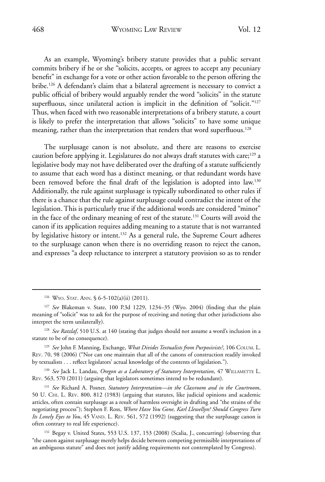As an example, Wyoming's bribery statute provides that a public servant commits bribery if he or she "solicits, accepts, or agrees to accept any pecuniary benefit" in exchange for a vote or other action favorable to the person offering the bribe.126 A defendant's claim that a bilateral agreement is necessary to convict a public official of bribery would arguably render the word "solicits" in the statute superfluous, since unilateral action is implicit in the definition of "solicit."<sup>127</sup> Thus, when faced with two reasonable interpretations of a bribery statute, a court is likely to prefer the interpretation that allows "solicits" to have some unique meaning, rather than the interpretation that renders that word superfluous.<sup>128</sup>

The surplusage canon is not absolute, and there are reasons to exercise caution before applying it. Legislatures do not always draft statutes with care;<sup>129</sup> a legislative body may not have deliberated over the drafting of a statute sufficiently to assume that each word has a distinct meaning, or that redundant words have been removed before the final draft of the legislation is adopted into law.<sup>130</sup> Additionally, the rule against surplusage is typically subordinated to other rules if there is a chance that the rule against surplusage could contradict the intent of the legislation. This is particularly true if the additional words are considered "minor" in the face of the ordinary meaning of rest of the statute.<sup>131</sup> Courts will avoid the canon if its application requires adding meaning to a statute that is not warranted by legislative history or intent.<sup>132</sup> As a general rule, the Supreme Court adheres to the surplusage canon when there is no overriding reason to reject the canon, and expresses "a deep reluctance to interpret a statutory provision so as to render

<sup>130</sup> See Jack L. Landau, Oregon as a Laboratory of Statutory Interpretation, 47 WILLAMETTE L. Rev. 563, 570 (2011) (arguing that legislators sometimes intend to be redundant).

<sup>131</sup> *See* Richard A. Posner, *Statutory Interpretation—in the Classroom and in the Courtroom*, 50 U. Chi. L. Rev. 800, 812 (1983) (arguing that statutes, like judicial opinions and academic articles, often contain surplusage as a result of harmless oversight in drafting and "the strains of the negotiating process"); Stephen F. Ross, *Where Have You Gone, Karl Llewellyn? Should Congress Turn Its Lonely Eyes to You*, 45 VAND. L. REV. 561, 572 (1992) (suggesting that the surplusage canon is often contrary to real life experience).

<sup>&</sup>lt;sup>126</sup> WYO. STAT. ANN. § 6-5-102(a)(ii) (2011).

<sup>127</sup> *See* Blakeman v. State, 100 P.3d 1229, 1234–35 (Wyo. 2004) (finding that the plain meaning of "solicit" was to ask for the purpose of receiving and noting that other jurisdictions also interpret the term unilaterally).

<sup>128</sup> *See Ratzlaf*, 510 U.S. at 140 (stating that judges should not assume a word's inclusion in a statute to be of no consequence).

<sup>129</sup> *See* John F. Manning, Exchange, *What Divides Textualists from Purposivists?*, 106 Colum. L. Rev. 70, 98 (2006) ("Nor can one maintain that all of the canons of construction readily invoked by textualists . . . reflect legislators' actual knowledge of the contents of legislation.").

<sup>&</sup>lt;sup>132</sup> Begay v. United States, 553 U.S. 137, 153 (2008) (Scalia, J., concurring) (observing that "the canon against surplusage merely helps decide between competing permissible interpretations of an ambiguous statute" and does not justify adding requirements not contemplated by Congress).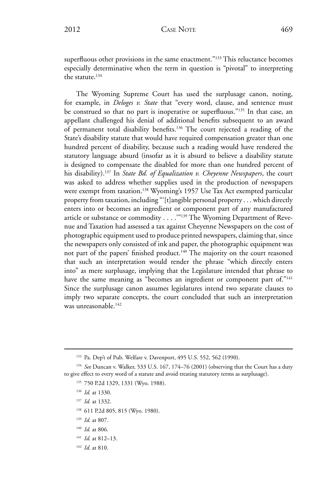The Wyoming Supreme Court has used the surplusage canon, noting, for example, in *Deloges v. State* that "every word, clause, and sentence must be construed so that no part is inoperative or superfluous."<sup>135</sup> In that case, an appellant challenged his denial of additional benefits subsequent to an award of permanent total disability benefits.136 The court rejected a reading of the State's disability statute that would have required compensation greater than one hundred percent of disability, because such a reading would have rendered the statutory language absurd (insofar as it is absurd to believe a disability statute is designed to compensate the disabled for more than one hundred percent of his disability).137 In *State Bd. of Equalization v. Cheyenne Newspapers*, the court was asked to address whether supplies used in the production of newspapers were exempt from taxation.<sup>138</sup> Wyoming's 1957 Use Tax Act exempted particular property from taxation, including "'[t]angible personal property . . . which directly enters into or becomes an ingredient or component part of any manufactured article or substance or commodity . . . . "139 The Wyoming Department of Revenue and Taxation had assessed a tax against Cheyenne Newspapers on the cost of photographic equipment used to produce printed newspapers, claiming that, since the newspapers only consisted of ink and paper, the photographic equipment was not part of the papers' finished product.<sup>140</sup> The majority on the court reasoned that such an interpretation would render the phrase "which directly enters into" as mere surplusage, implying that the Legislature intended that phrase to have the same meaning as "becomes an ingredient or component part of."<sup>141</sup> Since the surplusage canon assumes legislatures intend two separate clauses to imply two separate concepts, the court concluded that such an interpretation was unreasonable.<sup>142</sup>

- <sup>136</sup> *Id.* at 1330.
- <sup>137</sup> *Id.* at 1332.
- <sup>138</sup> 611 P.2d 805, 815 (Wyo. 1980).
- <sup>139</sup> *Id.* at 807.
- <sup>140</sup> *Id.* at 806.
- <sup>141</sup> *Id.* at 812–13.
- <sup>142</sup> *Id.* at 810.

<sup>&</sup>lt;sup>133</sup> Pa. Dep't of Pub. Welfare v. Davenport, 495 U.S. 552, 562 (1990).

<sup>&</sup>lt;sup>134</sup> See Duncan v. Walker, 533 U.S. 167, 174-76 (2001) (observing that the Court has a duty to give effect to every word of a statute and avoid treating statutory terms as surplusage).

<sup>135 750</sup> P.2d 1329, 1331 (Wyo. 1988).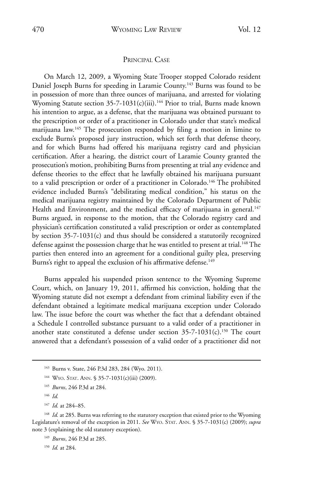#### Principal Case

On March 12, 2009, a Wyoming State Trooper stopped Colorado resident Daniel Joseph Burns for speeding in Laramie County.<sup>143</sup> Burns was found to be in possession of more than three ounces of marijuana, and arrested for violating Wyoming Statute section 35-7-1031(c)(iii).<sup>144</sup> Prior to trial, Burns made known his intention to argue, as a defense, that the marijuana was obtained pursuant to the prescription or order of a practitioner in Colorado under that state's medical marijuana law.145 The prosecution responded by filing a motion in limine to exclude Burns's proposed jury instruction, which set forth that defense theory, and for which Burns had offered his marijuana registry card and physician certification. After a hearing, the district court of Laramie County granted the prosecution's motion, prohibiting Burns from presenting at trial any evidence and defense theories to the effect that he lawfully obtained his marijuana pursuant to a valid prescription or order of a practitioner in Colorado.<sup>146</sup> The prohibited evidence included Burns's "debilitating medical condition," his status on the medical marijuana registry maintained by the Colorado Department of Public Health and Environment, and the medical efficacy of marijuana in general.<sup>147</sup> Burns argued, in response to the motion, that the Colorado registry card and physician's certification constituted a valid prescription or order as contemplated by section 35-7-1031(c) and thus should be considered a statutorily recognized defense against the possession charge that he was entitled to present at trial.<sup>148</sup> The parties then entered into an agreement for a conditional guilty plea, preserving Burns's right to appeal the exclusion of his affirmative defense.<sup>149</sup>

Burns appealed his suspended prison sentence to the Wyoming Supreme Court, which, on January 19, 2011, affirmed his conviction, holding that the Wyoming statute did not exempt a defendant from criminal liability even if the defendant obtained a legitimate medical marijuana exception under Colorado law. The issue before the court was whether the fact that a defendant obtained a Schedule I controlled substance pursuant to a valid order of a practitioner in another state constituted a defense under section  $35-7-1031(c)$ .<sup>150</sup> The court answered that a defendant's possession of a valid order of a practitioner did not

<sup>147</sup> *Id.* at 284–85.

<sup>148</sup> *Id.* at 285. Burns was referring to the statutory exception that existed prior to the Wyoming Legislature's removal of the exception in 2011. *See* Wyo. Stat. Ann. § 35-7-1031(c) (2009); *supra* note 3 (explaining the old statutory exception).

<sup>150</sup> *Id.* at 284.

<sup>&</sup>lt;sup>143</sup> Burns v. State, 246 P.3d 283, 284 (Wyo. 2011).

<sup>&</sup>lt;sup>144</sup> WYO. STAT. ANN. § 35-7-1031(c)(iii) (2009).

<sup>145</sup> *Burns*, 246 P.3d at 284.

<sup>146</sup> *Id.* 

<sup>149</sup> *Burns*, 246 P.3d at 285.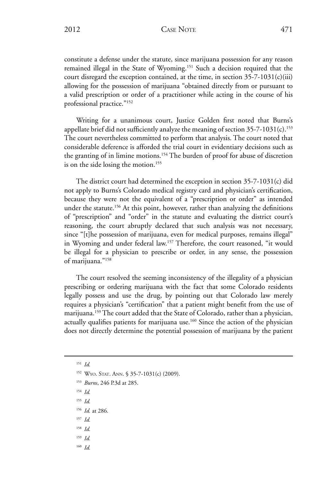constitute a defense under the statute, since marijuana possession for any reason remained illegal in the State of Wyoming.151 Such a decision required that the court disregard the exception contained, at the time, in section  $35-7-1031(c)(iii)$ allowing for the possession of marijuana "obtained directly from or pursuant to a valid prescription or order of a practitioner while acting in the course of his professional practice."152

Writing for a unanimous court, Justice Golden first noted that Burns's appellate brief did not sufficiently analyze the meaning of section  $35-7-1031(c)$ .<sup>153</sup> The court nevertheless committed to perform that analysis. The court noted that considerable deference is afforded the trial court in evidentiary decisions such as the granting of in limine motions.<sup>154</sup> The burden of proof for abuse of discretion is on the side losing the motion.<sup>155</sup>

The district court had determined the exception in section 35-7-1031(c) did not apply to Burns's Colorado medical registry card and physician's certification, because they were not the equivalent of a "prescription or order" as intended under the statute.<sup>156</sup> At this point, however, rather than analyzing the definitions of "prescription" and "order" in the statute and evaluating the district court's reasoning, the court abruptly declared that such analysis was not necessary, since "[t]he possession of marijuana, even for medical purposes, remains illegal" in Wyoming and under federal law.<sup>157</sup> Therefore, the court reasoned, "it would be illegal for a physician to prescribe or order, in any sense, the possession of marijuana."158

The court resolved the seeming inconsistency of the illegality of a physician prescribing or ordering marijuana with the fact that some Colorado residents legally possess and use the drug, by pointing out that Colorado law merely requires a physician's "certification" that a patient might benefit from the use of marijuana.159 The court added that the State of Colorado, rather than a physician, actually qualifies patients for marijuana use. $160$  Since the action of the physician does not directly determine the potential possession of marijuana by the patient

<sup>151</sup> *Id.*

<sup>154</sup> *Id.*

- <sup>155</sup> *Id.*
- <sup>156</sup> *Id.* at 286.
- <sup>157</sup> *Id.*
- <sup>158</sup> *Id.*
- <sup>159</sup> *Id.*
- <sup>160</sup> *Id.*

<sup>&</sup>lt;sup>152</sup> WYO. STAT. ANN. § 35-7-1031(c) (2009).

<sup>153</sup> *Burns*, 246 P.3d at 285.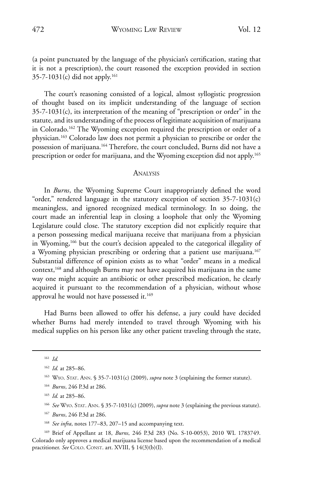(a point punctuated by the language of the physician's certification, stating that it is not a prescription), the court reasoned the exception provided in section  $35-7-1031(c)$  did not apply.<sup>161</sup>

The court's reasoning consisted of a logical, almost syllogistic progression of thought based on its implicit understanding of the language of section 35-7-1031(c), its interpretation of the meaning of "prescription or order" in the statute, and its understanding of the process of legitimate acquisition of marijuana in Colorado.162 The Wyoming exception required the prescription or order of a physician.163 Colorado law does not permit a physician to prescribe or order the possession of marijuana.<sup>164</sup> Therefore, the court concluded, Burns did not have a prescription or order for marijuana, and the Wyoming exception did not apply.<sup>165</sup>

#### **ANALYSIS**

In *Burns*, the Wyoming Supreme Court inappropriately defined the word "order," rendered language in the statutory exception of section  $35-7-1031(c)$ meaningless, and ignored recognized medical terminology. In so doing, the court made an inferential leap in closing a loophole that only the Wyoming Legislature could close. The statutory exception did not explicitly require that a person possessing medical marijuana receive that marijuana from a physician in Wyoming,166 but the court's decision appealed to the categorical illegality of a Wyoming physician prescribing or ordering that a patient use marijuana.<sup>167</sup> Substantial difference of opinion exists as to what "order" means in a medical context,<sup>168</sup> and although Burns may not have acquired his marijuana in the same way one might acquire an antibiotic or other prescribed medication, he clearly acquired it pursuant to the recommendation of a physician, without whose approval he would not have possessed it.<sup>169</sup>

Had Burns been allowed to offer his defense, a jury could have decided whether Burns had merely intended to travel through Wyoming with his medical supplies on his person like any other patient traveling through the state,

<sup>167</sup> *Burns*, 246 P.3d at 286.

<sup>161</sup> *Id.*

<sup>162</sup> *Id.* at 285–86.

<sup>&</sup>lt;sup>163</sup> WYO. STAT. ANN. § 35-7-1031(c) (2009), *supra* note 3 (explaining the former statute).

<sup>164</sup> *Burns*, 246 P.3d at 286.

<sup>165</sup> *Id.* at 285–86.

<sup>166</sup> *See* Wyo. Stat. Ann. § 35-7-1031(c) (2009), *supra* note 3 (explaining the previous statute).

<sup>&</sup>lt;sup>168</sup> See infra, notes 177–83, 207–15 and accompanying text.

<sup>169</sup> Brief of Appellant at 18, *Burns*, 246 P.3d 283 (No. S-10-0053), 2010 WL 1783749. Colorado only approves a medical marijuana license based upon the recommendation of a medical practitioner. See COLO. CONST. art. XVIII, § 14(3)(b)(I).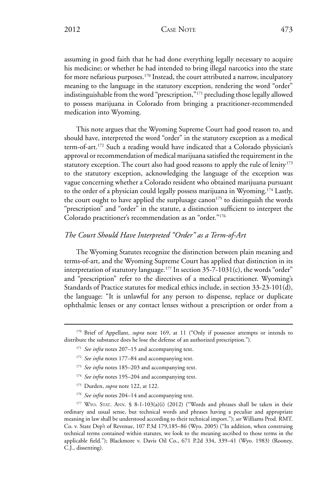2012 CASE NOTE 473

assuming in good faith that he had done everything legally necessary to acquire his medicine; or whether he had intended to bring illegal narcotics into the state for more nefarious purposes.<sup>170</sup> Instead, the court attributed a narrow, inculpatory meaning to the language in the statutory exception, rendering the word "order" indistinguishable from the word "prescription,"171 precluding those legally allowed to possess marijuana in Colorado from bringing a practitioner-recommended medication into Wyoming.

This note argues that the Wyoming Supreme Court had good reason to, and should have, interpreted the word "order" in the statutory exception as a medical term-of-art.172 Such a reading would have indicated that a Colorado physician's approval or recommendation of medical marijuana satisfied the requirement in the statutory exception. The court also had good reasons to apply the rule of lenity $173$ to the statutory exception, acknowledging the language of the exception was vague concerning whether a Colorado resident who obtained marijuana pursuant to the order of a physician could legally possess marijuana in Wyoming.174 Lastly, the court ought to have applied the surplusage canon<sup>175</sup> to distinguish the words "prescription" and "order" in the statute, a distinction sufficient to interpret the Colorado practitioner's recommendation as an "order."176

### *The Court Should Have Interpreted "Order" as a Term-of-Art*

The Wyoming Statutes recognize the distinction between plain meaning and terms-of-art, and the Wyoming Supreme Court has applied that distinction in its interpretation of statutory language.<sup>177</sup> In section  $35-7-1031(c)$ , the words "order" and "prescription" refer to the directives of a medical practitioner. Wyoming's Standards of Practice statutes for medical ethics include, in section 33-23-101(d), the language: "It is unlawful for any person to dispense, replace or duplicate ophthalmic lenses or any contact lenses without a prescription or order from a

- <sup>173</sup> *See infra* notes 185–203 and accompanying text.
- <sup>174</sup> *See infra* notes 195–204 and accompanying text.
- <sup>175</sup> Durden, *supra* note 122, at 122.
- <sup>176</sup> *See infra* notes 204–14 and accompanying text.

<sup>&</sup>lt;sup>170</sup> Brief of Appellant, *supra* note 169, at 11 ("Only if possessor attempts or intends to distribute the substance does he lose the defense of an authorized prescription.").

<sup>&</sup>lt;sup>171</sup> See infra notes 207-15 and accompanying text.

<sup>172</sup> *See infra* notes 177–84 and accompanying text.

 $177$  WYO. STAT. ANN. § 8-1-103(a)(i) (2012) ("Words and phrases shall be taken in their ordinary and usual sense, but technical words and phrases having a peculiar and appropriate meaning in law shall be understood according to their technical import."); *see* Williams Prod. RMT. Co. v. State Dep't of Revenue, 107 P.3d 179,185–86 (Wyo. 2005) ("In addition, when construing technical terms contained within statutes, we look to the meaning ascribed to those terms in the applicable field."); Blackmore v. Davis Oil Co., 671 P.2d 334, 339–41 (Wyo. 1983) (Rooney, C.J., dissenting).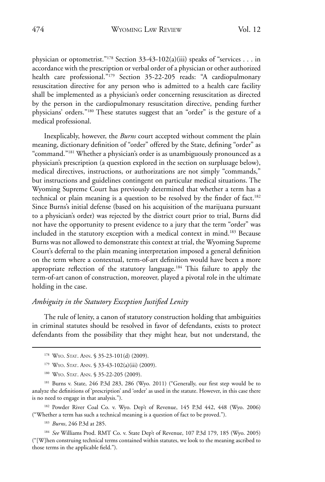physician or optometrist."178 Section 33-43-102(a)(iii) speaks of "services . . . in accordance with the prescription or verbal order of a physician or other authorized health care professional."<sup>179</sup> Section 35-22-205 reads: "A cardiopulmonary resuscitation directive for any person who is admitted to a health care facility shall be implemented as a physician's order concerning resuscitation as directed by the person in the cardiopulmonary resuscitation directive, pending further physicians' orders."180 These statutes suggest that an "order" is the gesture of a medical professional.

Inexplicably, however, the *Burns* court accepted without comment the plain meaning, dictionary definition of "order" offered by the State, defining "order" as "command."181 Whether a physician's order is as unambiguously pronounced as a physician's prescription (a question explored in the section on surplusage below), medical directives, instructions, or authorizations are not simply "commands," but instructions and guidelines contingent on particular medical situations. The Wyoming Supreme Court has previously determined that whether a term has a technical or plain meaning is a question to be resolved by the finder of fact.<sup>182</sup> Since Burns's initial defense (based on his acquisition of the marijuana pursuant to a physician's order) was rejected by the district court prior to trial, Burns did not have the opportunity to present evidence to a jury that the term "order" was included in the statutory exception with a medical context in mind.<sup>183</sup> Because Burns was not allowed to demonstrate this context at trial, the Wyoming Supreme Court's deferral to the plain meaning interpretation imposed a general definition on the term where a contextual, term-of-art definition would have been a more appropriate reflection of the statutory language.<sup>184</sup> This failure to apply the term-of-art canon of construction, moreover, played a pivotal role in the ultimate holding in the case.

### *Ambiguity in the Statutory Exception Justified Lenity*

The rule of lenity, a canon of statutory construction holding that ambiguities in criminal statutes should be resolved in favor of defendants, exists to protect defendants from the possibility that they might hear, but not understand, the

<sup>182</sup> Powder River Coal Co. v. Wyo. Dep't of Revenue, 145 P.3d 442, 448 (Wyo. 2006) ("Whether a term has such a technical meaning is a question of fact to be proved.").

<sup>183</sup> *Burns*, 246 P.3d at 285.

<sup>184</sup> *See* Williams Prod. RMT Co. v. State Dep't of Revenue, 107 P.3d 179, 185 (Wyo. 2005) ("[W]hen construing technical terms contained within statutes, we look to the meaning ascribed to those terms in the applicable field.").

<sup>&</sup>lt;sup>178</sup> Wyo. Stat. Ann. § 35-23-101(d) (2009).

<sup>&</sup>lt;sup>179</sup> Wyo. Stat. Ann. § 33-43-102(a)(iii) (2009).

<sup>180</sup> WYO. STAT. ANN. § 35-22-205 (2009).

<sup>&</sup>lt;sup>181</sup> Burns v. State, 246 P.3d 283, 286 (Wyo. 2011) ("Generally, our first step would be to analyze the definitions of 'prescription' and 'order' as used in the statute. However, in this case there is no need to engage in that analysis.").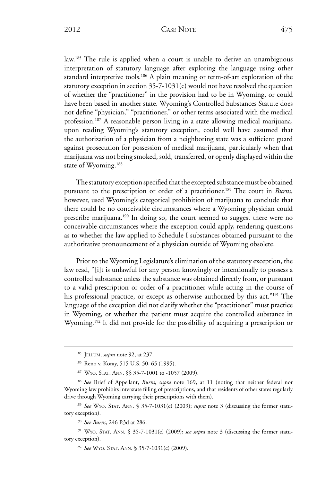law.<sup>185</sup> The rule is applied when a court is unable to derive an unambiguous interpretation of statutory language after exploring the language using other standard interpretive tools.<sup>186</sup> A plain meaning or term-of-art exploration of the statutory exception in section 35-7-1031(c) would not have resolved the question of whether the "practitioner" in the provision had to be in Wyoming, or could have been based in another state. Wyoming's Controlled Substances Statute does not define "physician," "practitioner," or other terms associated with the medical profession.187 A reasonable person living in a state allowing medical marijuana, upon reading Wyoming's statutory exception, could well have assumed that the authorization of a physician from a neighboring state was a sufficient guard against prosecution for possession of medical marijuana, particularly when that marijuana was not being smoked, sold, transferred, or openly displayed within the state of Wyoming.<sup>188</sup>

The statutory exception specified that the excepted substance must be obtained pursuant to the prescription or order of a practitioner.189 The court in *Burns*, however, used Wyoming's categorical prohibition of marijuana to conclude that there could be no conceivable circumstances where a Wyoming physician could prescribe marijuana.<sup>190</sup> In doing so, the court seemed to suggest there were no conceivable circumstances where the exception could apply, rendering questions as to whether the law applied to Schedule I substances obtained pursuant to the authoritative pronouncement of a physician outside of Wyoming obsolete.

Prior to the Wyoming Legislature's elimination of the statutory exception, the law read, "[i]t is unlawful for any person knowingly or intentionally to possess a controlled substance unless the substance was obtained directly from, or pursuant to a valid prescription or order of a practitioner while acting in the course of his professional practice, or except as otherwise authorized by this act."191 The language of the exception did not clarify whether the "practitioner" must practice in Wyoming, or whether the patient must acquire the controlled substance in Wyoming.<sup>192</sup> It did not provide for the possibility of acquiring a prescription or

<sup>185</sup> Jellum, *supra* note 92, at 237.

<sup>&</sup>lt;sup>186</sup> Reno v. Koray, 515 U.S. 50, 65 (1995).

<sup>187</sup> WYO. STAT. ANN. §§ 35-7-1001 to -1057 (2009).

<sup>188</sup> *See* Brief of Appellant, *Burns*, *supra* note 169, at 11 (noting that neither federal nor Wyoming law prohibits interstate filling of prescriptions, and that residents of other states regularly drive through Wyoming carrying their prescriptions with them).

<sup>&</sup>lt;sup>189</sup> See WYO. STAT. ANN. § 35-7-1031(c) (2009); *supra* note 3 (discussing the former statutory exception).

<sup>190</sup> *See Burns*, 246 P.3d at 286.

<sup>&</sup>lt;sup>191</sup> WYO. STAT. ANN. § 35-7-1031(c) (2009); see supra note 3 (discussing the former statutory exception).

<sup>192</sup> *See* Wyo. Stat. Ann. § 35-7-1031(c) (2009)*.*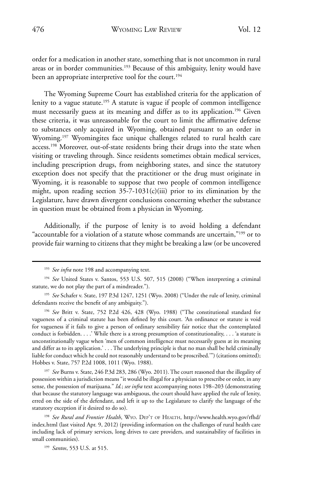order for a medication in another state, something that is not uncommon in rural areas or in border communities.<sup>193</sup> Because of this ambiguity, lenity would have been an appropriate interpretive tool for the court.<sup>194</sup>

The Wyoming Supreme Court has established criteria for the application of lenity to a vague statute.<sup>195</sup> A statute is vague if people of common intelligence must necessarily guess at its meaning and differ as to its application.<sup>196</sup> Given these criteria, it was unreasonable for the court to limit the affirmative defense to substances only acquired in Wyoming, obtained pursuant to an order in Wyoming.<sup>197</sup> Wyomingites face unique challenges related to rural health care access.<sup>198</sup> Moreover, out-of-state residents bring their drugs into the state when visiting or traveling through. Since residents sometimes obtain medical services, including prescription drugs, from neighboring states, and since the statutory exception does not specify that the practitioner or the drug must originate in Wyoming, it is reasonable to suppose that two people of common intelligence might, upon reading section 35-7-1031(c)(iii) prior to its elimination by the Legislature, have drawn divergent conclusions concerning whether the substance in question must be obtained from a physician in Wyoming.

Additionally, if the purpose of lenity is to avoid holding a defendant "accountable for a violation of a statute whose commands are uncertain,"199 or to provide fair warning to citizens that they might be breaking a law (or be uncovered

<sup>196</sup> *See* Britt v. State, 752 P.2d 426, 428 (Wyo. 1988) ("The constitutional standard for vagueness of a criminal statute has been defined by this court. 'An ordinance or statute is void for vagueness if it fails to give a person of ordinary sensibility fair notice that the contemplated conduct is forbidden. . . .' While there is a strong presumption of constitutionality, . . . 'a statute is unconstitutionally vague when 'men of common intelligence must necessarily guess at its meaning and differ as to its application.' . . . The underlying principle is that no man shall be held criminally liable for conduct which he could not reasonably understand to be proscribed.'") (citations omitted); Hobbes v. State, 757 P.2d 1008, 1011 (Wyo. 1988).

<sup>197</sup> *See* Burns v. State, 246 P.3d 283, 286 (Wyo. 2011). The court reasoned that the illegality of possession within a jurisdiction means "it would be illegal for a physician to prescribe or order, in any sense, the possession of marijuana." *Id.*; *see infra* text accompanying notes 198–203 (demonstrating that because the statutory language was ambiguous, the court should have applied the rule of lenity, erred on the side of the defendant, and left it up to the Legislature to clarify the language of the statutory exception if it desired to do so).

<sup>198</sup> *See Rural and Frontier Health*, Wyo. Dep't of Health, http://www.health.wyo.gov/rfhd/ index.html (last visited Apr. 9, 2012) (providing information on the challenges of rural health care including lack of primary services, long drives to care providers, and sustainability of facilities in small communities).

<sup>199</sup> *Santos*, 553 U.S. at 515.

<sup>&</sup>lt;sup>193</sup> See infra note 198 and accompanying text.

<sup>&</sup>lt;sup>194</sup> See United States v. Santos, 553 U.S. 507, 515 (2008) ("When interpreting a criminal statute, we do not play the part of a mindreader.").

<sup>195</sup> *See* Schafer v. State, 197 P.3d 1247, 1251 (Wyo. 2008) ("Under the rule of lenity, criminal defendants receive the benefit of any ambiguity.").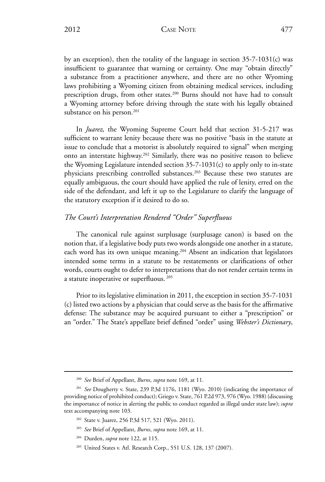2012 CASE NOTE 477

by an exception), then the totality of the language in section 35-7-1031(c) was insufficient to guarantee that warning or certainty. One may "obtain directly" a substance from a practitioner anywhere, and there are no other Wyoming laws prohibiting a Wyoming citizen from obtaining medical services, including prescription drugs, from other states.<sup>200</sup> Burns should not have had to consult a Wyoming attorney before driving through the state with his legally obtained substance on his person.<sup>201</sup>

In *Juarez,* the Wyoming Supreme Court held that section 31-5-217 was sufficient to warrant lenity because there was no positive "basis in the statute at issue to conclude that a motorist is absolutely required to signal" when merging onto an interstate highway.202 Similarly, there was no positive reason to believe the Wyoming Legislature intended section 35-7-1031(c) to apply only to in-state physicians prescribing controlled substances.203 Because these two statutes are equally ambiguous, the court should have applied the rule of lenity, erred on the side of the defendant, and left it up to the Legislature to clarify the language of the statutory exception if it desired to do so.

### *The Court's Interpretation Rendered "Order" Superfluous*

The canonical rule against surplusage (surplusage canon) is based on the notion that, if a legislative body puts two words alongside one another in a statute, each word has its own unique meaning.204 Absent an indication that legislators intended some terms in a statute to be restatements or clarifications of other words, courts ought to defer to interpretations that do not render certain terms in a statute inoperative or superfluous. 205

Prior to its legislative elimination in 2011, the exception in section 35-7-1031 (c) listed two actions by a physician that could serve as the basis for the affirmative defense: The substance may be acquired pursuant to either a "prescription" or an "order." The State's appellate brief defined "order" using *Webster's Dictionary*,

<sup>200</sup> *See* Brief of Appellant, *Burns*, *supra* note 169, at 11.

<sup>201</sup> *See* Dougherty v. State, 239 P.3d 1176, 1181 (Wyo. 2010) (indicating the importance of providing notice of prohibited conduct); Griego v. State, 761 P.2d 973, 976 (Wyo. 1988) (discussing the importance of notice in alerting the public to conduct regarded as illegal under state law); *supra*  text accompanying note 103.

<sup>202</sup> State v. Juarez, 256 P.3d 517, 521 (Wyo. 2011).

<sup>203</sup> *See* Brief of Appellant, *Burns*, *supra* note 169, at 11.

<sup>204</sup> Durden, *supra* note 122, at 115.

<sup>&</sup>lt;sup>205</sup> United States v. Atl. Research Corp., 551 U.S. 128, 137 (2007).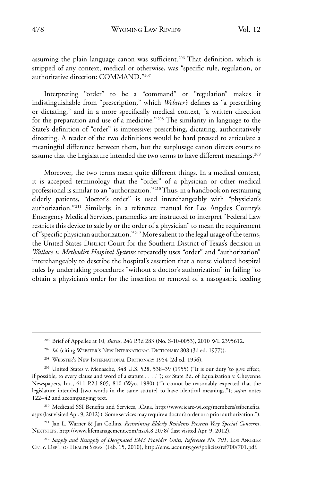assuming the plain language canon was sufficient.<sup>206</sup> That definition, which is stripped of any context, medical or otherwise, was "specific rule, regulation, or authoritative direction: COMMAND."207

Interpreting "order" to be a "command" or "regulation" makes it indistinguishable from "prescription," which *Webster's* defines as "a prescribing or dictating," and in a more specifically medical context, "a written direction for the preparation and use of a medicine."208 The similarity in language to the State's definition of "order" is impressive: prescribing, dictating, authoritatively directing. A reader of the two definitions would be hard pressed to articulate a meaningful difference between them, but the surplusage canon directs courts to assume that the Legislature intended the two terms to have different meanings.<sup>209</sup>

Moreover, the two terms mean quite different things. In a medical context, it is accepted terminology that the "order" of a physician or other medical professional is similar to an "authorization."210 Thus, in a handbook on restraining elderly patients, "doctor's order" is used interchangeably with "physician's authorization."211 Similarly, in a reference manual for Los Angeles County's Emergency Medical Services, paramedics are instructed to interpret "Federal Law restricts this device to sale by or the order of a physician" to mean the requirement of "specific physician authorization." 212 More salient to the legal usage of the terms, the United States District Court for the Southern District of Texas's decision in *Wallace v. Methodist Hospital Systems* repeatedly uses "order" and "authorization" interchangeably to describe the hospital's assertion that a nurse violated hospital rules by undertaking procedures "without a doctor's authorization" in failing "to obtain a physician's order for the insertion or removal of a nasogastric feeding

<sup>210</sup> Medicaid SSI Benefits and Services, iCare, http://www.icare-wi.org/members/ssibenefits. aspx (last visited Apr. 9, 2012) ("Some services may require a doctor's order or a prior authorization.").

<sup>206</sup> Brief of Appellee at 10, *Burns*, 246 P.3d 283 (No. S-10-0053), 2010 WL 2395612.

<sup>&</sup>lt;sup>207</sup> Id. (citing WEBSTER's New INTERNATIONAL DICTIONARY 808 (3d ed. 1977)).

<sup>208</sup> Webster's New International Dictionary 1954 (2d ed. 1956).

<sup>209</sup> United States v. Menasche, 348 U.S. 528, 538–39 (1955) ("It is our duty 'to give effect, if possible, to every clause and word of a statute . . . .'"); *see* State Bd. of Equalization v. Cheyenne Newspapers, Inc., 611 P.2d 805, 810 (Wyo. 1980) ("It cannot be reasonably expected that the legislature intended [two words in the same statute] to have identical meanings."); *supra* notes 122–42 and accompanying text.

<sup>211</sup> Jan L. Warner & Jan Collins, *Restraining Elderly Residents Presents Very Special Concerns*, Nextsteps, http://www.lifemanagement.com/nsa4.8.2078/ (last visited Apr. 9, 2012).

<sup>&</sup>lt;sup>212</sup> Supply and Resupply of Designated EMS Provider Units, Reference No. 701, LOS ANGELES CNTY. DEP'T OF HEALTH SERVS. (Feb. 15, 2010), http://ems.lacounty.gov/policies/ref700/701.pdf.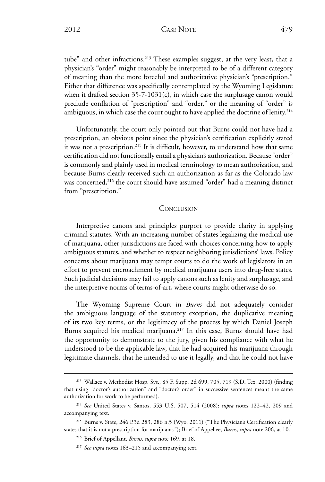2012 CASE NOTE 479

tube" and other infractions.<sup>213</sup> These examples suggest, at the very least, that a physician's "order" might reasonably be interpreted to be of a different category of meaning than the more forceful and authoritative physician's "prescription." Either that difference was specifically contemplated by the Wyoming Legislature when it drafted section 35-7-1031(c), in which case the surplusage canon would preclude conflation of "prescription" and "order," or the meaning of "order" is ambiguous, in which case the court ought to have applied the doctrine of lenity.<sup>214</sup>

Unfortunately, the court only pointed out that Burns could not have had a prescription, an obvious point since the physician's certification explicitly stated it was not a prescription.<sup>215</sup> It is difficult, however, to understand how that same certification did not functionally entail a physician's authorization. Because "order" is commonly and plainly used in medical terminology to mean authorization, and because Burns clearly received such an authorization as far as the Colorado law was concerned,<sup>216</sup> the court should have assumed "order" had a meaning distinct from "prescription."

#### **CONCLUSION**

Interpretive canons and principles purport to provide clarity in applying criminal statutes. With an increasing number of states legalizing the medical use of marijuana, other jurisdictions are faced with choices concerning how to apply ambiguous statutes, and whether to respect neighboring jurisdictions' laws. Policy concerns about marijuana may tempt courts to do the work of legislators in an effort to prevent encroachment by medical marijuana users into drug-free states. Such judicial decisions may fail to apply canons such as lenity and surplusage, and the interpretive norms of terms-of-art, where courts might otherwise do so.

The Wyoming Supreme Court in *Burns* did not adequately consider the ambiguous language of the statutory exception, the duplicative meaning of its two key terms, or the legitimacy of the process by which Daniel Joseph Burns acquired his medical marijuana.<sup>217</sup> In this case, Burns should have had the opportunity to demonstrate to the jury, given his compliance with what he understood to be the applicable law, that he had acquired his marijuana through legitimate channels, that he intended to use it legally, and that he could not have

<sup>213</sup> Wallace v. Methodist Hosp. Sys., 85 F. Supp. 2d 699, 705, 719 (S.D. Tex. 2000) (finding that using "doctor's authorization" and "doctor's order" in successive sentences meant the same authorization for work to be performed).

<sup>214</sup> *See* United States v. Santos, 553 U.S. 507, 514 (2008); *supra* notes 122–42, 209 and accompanying text.

<sup>&</sup>lt;sup>215</sup> Burns v. State, 246 P.3d 283, 286 n.5 (Wyo. 2011) ("The Physician's Certification clearly states that it is not a prescription for marijuana."); Brief of Appellee, *Burns*, *supra* note 206, at 10.

<sup>216</sup> Brief of Appellant, *Burns*, *supra* note 169, at 18.

<sup>217</sup> *See supra* notes 163–215 and accompanying text.